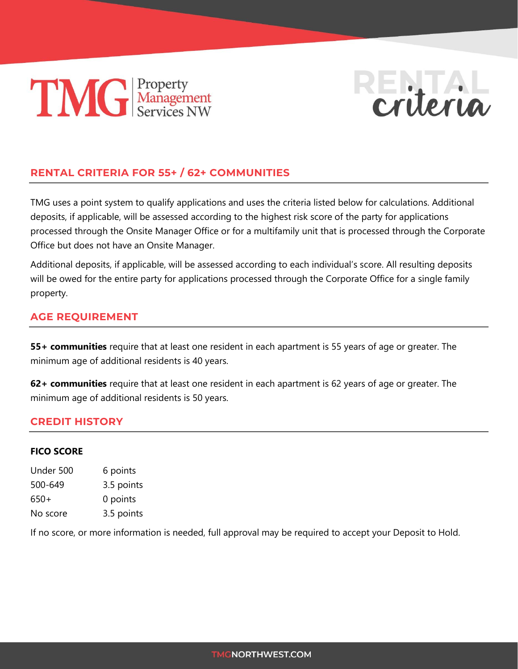# **TIMG** Property<br>Services NW



# **RENTAL CRITERIA FOR 55+ / 62+ COMMUNITIES**

TMG uses a point system to qualify applications and uses the criteria listed below for calculations. Additional deposits, if applicable, will be assessed according to the highest risk score of the party for applications processed through the Onsite Manager Office or for a multifamily unit that is processed through the Corporate Office but does not have an Onsite Manager.

Additional deposits, if applicable, will be assessed according to each individual's score. All resulting deposits will be owed for the entire party for applications processed through the Corporate Office for a single family property.

### **AGE REQUIREMENT**

**55+ communities** require that at least one resident in each apartment is 55 years of age or greater. The minimum age of additional residents is 40 years.

**62+ communities** require that at least one resident in each apartment is 62 years of age or greater. The minimum age of additional residents is 50 years.

#### **CREDIT HISTORY**

#### **FICO SCORE**

| Under 500 | 6 points   |
|-----------|------------|
| 500-649   | 3.5 points |
| 650+      | 0 points   |
| No score  | 3.5 points |

If no score, or more information is needed, full approval may be required to accept your Deposit to Hold.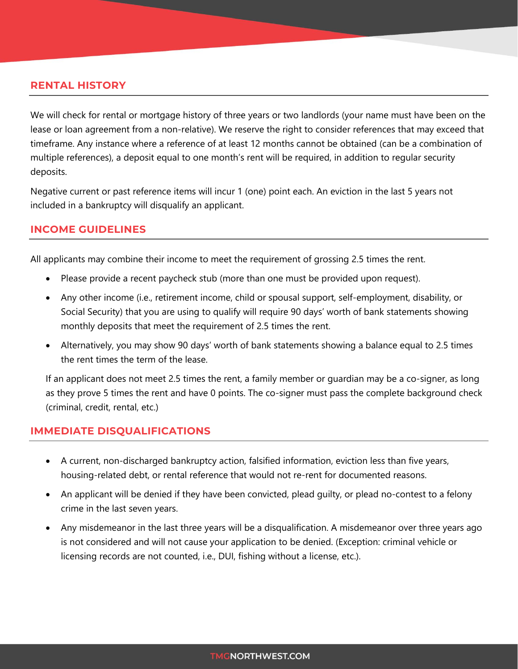#### **RENTAL HISTORY**

We will check for rental or mortgage history of three years or two landlords (your name must have been on the lease or loan agreement from a non-relative). We reserve the right to consider references that may exceed that timeframe. Any instance where a reference of at least 12 months cannot be obtained (can be a combination of multiple references), a deposit equal to one month's rent will be required, in addition to regular security deposits.

Negative current or past reference items will incur 1 (one) point each. An eviction in the last 5 years not included in a bankruptcy will disqualify an applicant.

#### **INCOME GUIDELINES**

All applicants may combine their income to meet the requirement of grossing 2.5 times the rent.

- Please provide a recent paycheck stub (more than one must be provided upon request).
- Any other income (i.e., retirement income, child or spousal support, self-employment, disability, or Social Security) that you are using to qualify will require 90 days' worth of bank statements showing monthly deposits that meet the requirement of 2.5 times the rent.
- Alternatively, you may show 90 days' worth of bank statements showing a balance equal to 2.5 times the rent times the term of the lease.

If an applicant does not meet 2.5 times the rent, a family member or guardian may be a co-signer, as long as they prove 5 times the rent and have 0 points. The co-signer must pass the complete background check (criminal, credit, rental, etc.)

#### **IMMEDIATE DISQUALIFICATIONS**

- A current, non-discharged bankruptcy action, falsified information, eviction less than five years, housing-related debt, or rental reference that would not re-rent for documented reasons.
- An applicant will be denied if they have been convicted, plead guilty, or plead no-contest to a felony crime in the last seven years.
- Any misdemeanor in the last three years will be a disqualification. A misdemeanor over three years ago is not considered and will not cause your application to be denied. (Exception: criminal vehicle or licensing records are not counted, i.e., DUI, fishing without a license, etc.).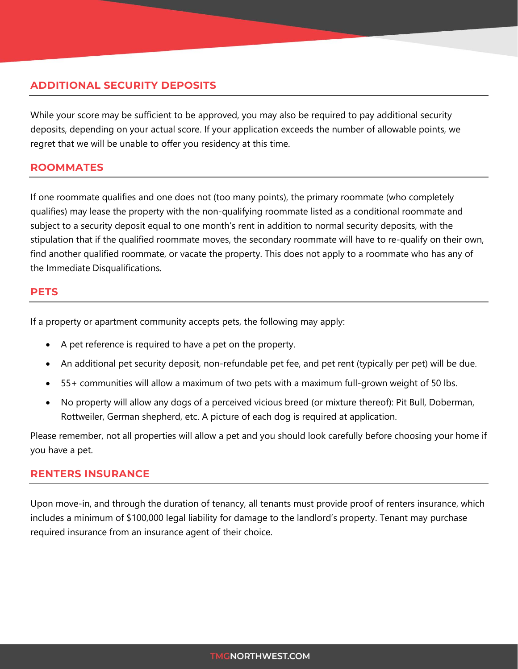## **ADDITIONAL SECURITY DEPOSITS**

While your score may be sufficient to be approved, you may also be required to pay additional security deposits, depending on your actual score. If your application exceeds the number of allowable points, we regret that we will be unable to offer you residency at this time.

#### **ROOMMATES**

If one roommate qualifies and one does not (too many points), the primary roommate (who completely qualifies) may lease the property with the non-qualifying roommate listed as a conditional roommate and subject to a security deposit equal to one month's rent in addition to normal security deposits, with the stipulation that if the qualified roommate moves, the secondary roommate will have to re-qualify on their own, find another qualified roommate, or vacate the property. This does not apply to a roommate who has any of the Immediate Disqualifications.

#### **PETS**

If a property or apartment community accepts pets, the following may apply:

- A pet reference is required to have a pet on the property.
- An additional pet security deposit, non-refundable pet fee, and pet rent (typically per pet) will be due.
- 55+ communities will allow a maximum of two pets with a maximum full-grown weight of 50 lbs.
- No property will allow any dogs of a perceived vicious breed (or mixture thereof): Pit Bull, Doberman, Rottweiler, German shepherd, etc. A picture of each dog is required at application.

Please remember, not all properties will allow a pet and you should look carefully before choosing your home if you have a pet.

#### **RENTERS INSURANCE**

Upon move-in, and through the duration of tenancy, all tenants must provide proof of renters insurance, which includes a minimum of \$100,000 legal liability for damage to the landlord's property. Tenant may purchase required insurance from an insurance agent of their choice.